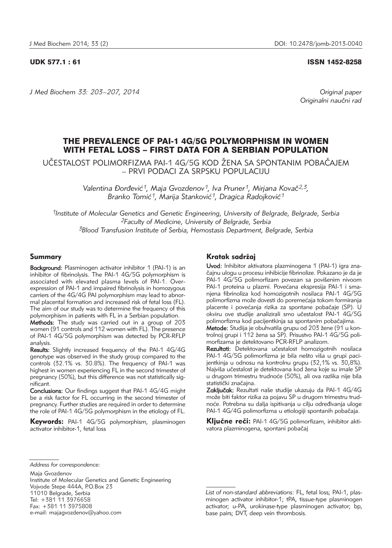## UDK 577.1 : 61 ISSN 1452-8258

*J Med Biochem 33: 203–207, 2014 Original paper* Originalni naučni rad

# THE PREVALENCE OF PAI-1 4G/5G POLYMORPHISM IN WOMEN WITH FETAL LOSS – FIRST DATA FOR A SERBIAN POPULATION

UČESTALOST POLIMORFIZMA PAI-1 4G/5G KOD ŽENA SA SPONTANIM POBAČAJEM – PRVI PODACI ZA SRPSKU POPULACIJU

> Valentina Đorđević<sup>1</sup>, Maja Gvozdenov<sup>1</sup>, Iva Pruner<sup>1</sup>, Mirjana Kovač<sup>2,3</sup>, Branko Tomić<sup>1</sup>, Marija Stanković<sup>1</sup>, Dragica Radojković<sup>1</sup>

*1Institute of Molecular Genetics and Genetic Engineering, University of Belgrade, Belgrade, Serbia 2Faculty of Medicine, University of Belgrade, Serbia 3Blood Transfusion Institute of Serbia, Hemostasis Department, Belgrade, Serbia*

# Summary

Background: Plasminogen activator inhibitor 1 (PAI-1) is an inhibitor of fibrinolysis. The PAI-1 4G/5G polymorphism is associated with elevated plasma levels of PAI-1. Over expression of PAI-1 and impaired fibrinolysis in homozygous carriers of the 4G/4G PAI polymorphism may lead to abnormal placental formation and increased risk of fetal loss (FL). The aim of our study was to determine the frequency of this polymorphism in patients with FL in a Serbian population.

Methods: The study was carried out in a group of 203 women (91 controls and 112 women with FL). The presence of PAI-1 4G/5G polymorphism was detected by PCR-RFLP analysis.

Results: Slightly increased frequency of the PAI-1 4G/4G genotype was observed in the study group compared to the controls (32.1% vs. 30.8%). The frequency of PAI-1 was highest in women experiencing FL in the second trimester of pregnancy (50%), but this difference was not statistically significant.

Conclusions: Our findings suggest that PAI-1 4G/4G might be a risk factor for FL occurring in the second trimester of pregnancy. Further studies are required in order to determine the role of PAI-1 4G/5G polymorphism in the etiology of FL.

Keywords: PAI-1 4G/5G polymorphism, plasminogen activator inhibitor-1, fetal loss

# Kratak sadržaj

Uvod: Inhibitor aktivatora plazminogena 1 (PAI-1) igra značajnu ulogu u procesu inhibicije fibrinolize. Pokazano je da je PAI-1 4G/5G polimorfizam povezan sa povišenim nivoom PAI-1 proteina u plazmi. Povećana ekspresija PAI-1 i smanjena fibrinoliza kod homozigotnih nosilaca PAI-1 4G/5G polimorfizma može dovesti do poremećaja tokom formiranja placente i povećanja rizika za spontane pobačaje (SP). U okviru ove studije analizirali smo učestalost PAI-1 4G/5G polimorfizma kod pacijentkinja sa spontanim pobačajima.

Metode: Studija je obuhvatila grupu od 203 žene (91 u kontrolnoj grupi i 112 žena sa SP). Prisustvo PAI-1 4G/5G polimorfizama je detektovano PCR-RFLP analizom.

Rezultati: Detektovana učestalost homozigotnih nosilaca PAI-1 4G/5G polimorfizma je bila nešto viša u grupi pacijentkinja u odnosu na kontrolnu grupu (32,1% vs. 30,8%). Najviša učestalost je detektovana kod žena koje su imale SP u drugom trimestru trudnoće (50%), ali ova razlika nije bila statistički značajna.

Zaključak: Rezultati naše studije ukazuju da PAI-1 4G/4G može biti faktor rizika za pojavu SP u drugom trimestru trudnoće. Potrebna su dalja ispitivanja u cilju određivanja uloge PAI-1 4G/4G polimorfizma u etiologiji spontanih pobačaja.

Ključne reči: PAI-1 4G/5G polimorfizam, inhibitor aktivatora plazminogena, spontani pobačaj

*Address for correspondence:*

Maja Gvozdenov Institute of Molecular Genetics and Genetic Engineering Vojvode Stepe 444A, P.O.Box 23 11010 Belgrade, Serbia Tel: +381 11 3976658 Fax: +381 11 3975808 e-mail: majagvozdenov@yahoo.com

*List of non-standard abbreviations:* FL, fetal loss; PAI-1, plasminogen activator inhibitor-1; tPA, tissue-type plasminogen activator; u-PA, urokinase-type plasminogen activator; bp, base pairs; DVT, deep vein thrombosis.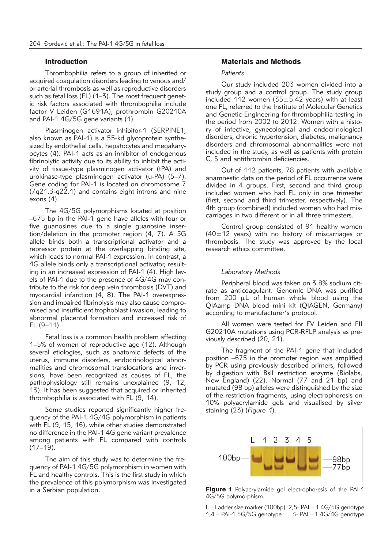#### Introduction

Thrombophilia refers to a group of inherited or acquired coagulation disorders leading to venous and/ or arterial thrombosis as well as reproductive disorders such as fetal loss (FL) (1-3). The most frequent genetic risk factors associated with thrombophilia include factor V Leiden (G1691A), prothrombin G20210A and PAI-1 4G/5G gene variants (1).

Plasminogen activator inhibitor-1 (SERPINE1, also known as PAI-1) is a 55-kd glycoprotein synthesized by endothelial cells, hepatocytes and megakaryocytes (4). PAI-1 acts as an inhibitor of endogenous fibrinolytic activity due to its ability to inhibit the activity of tissue-type plasminogen activator (tPA) and urokinase-type plasminogen activator (u-PA) (5–7). Gene coding for PAI-1 is located on chromosome 7 (7q21.3-q22.1) and contains eight introns and nine exons (4).

The 4G/5G polymorphisms located at position –675 bp in the PAI-1 gene have alleles with four or five guanosines due to a single guanosine insertion/deletion in the promoter region (4, 7). A 5G allele binds both a transcriptional activator and a repressor protein at the overlapping binding site, which leads to normal PAI-1 expression. In contrast, a 4G allele binds only a transcriptional activator, resulting in an increased expression of PAI-1 (4). High levels of PAI-1 due to the presence of 4G/4G may contribute to the risk for deep vein thrombosis (DVT) and myocardial infarction (4, 8). The PAI-1 overexpression and impaired fibrinolysis may also cause compromised and insufficient trophoblast invasion, leading to abnormal placental formation and increased risk of FL (9–11).

Fetal loss is a common health problem affecting 1–5% of women of reproductive age (12). Although several etiologies, such as anatomic defects of the uterus, immune disorders, endocrinological abnormalities and chromosomal translocations and inversions, have been recognized as causes of FL, the pathophysiology still remains unexplained (9, 12, 13). It has been suggested that acquired or inherited thrombophilia is associated with FL (9, 14).

Some studies reported significantly higher frequency of the PAI-1 4G/4G polymorphism in patients with FL (9, 15, 16), while other studies demonstrated no difference in the PAI-1 4G gene variant prevalence among patients with FL compared with controls  $(17-19)$ .

The aim of this study was to determine the frequency of PAI-1 4G/5G polymorphism in women with FL and healthy controls. This is the first study in which the prevalence of this polymorphism was investigated in a Serbian population.

# Materials and Methods

#### *Patients*

Our study included 203 women divided into a study group and a control group. The study group included 112 women ( $35±5.42$  years) with at least one FL, referred to the Institute of Molecular Genetics and Genetic Engineering for thrombophilia testing in the period from 2002 to 2012. Women with a history of infective, gynecological and endocrinological disorders, chronic hypertension, diabetes, malignancy disorders and chromosomal abnormalities were not included in the study, as well as patients with protein C, S and antithrombin deficiencies.

Out of 112 patients, 78 patients with available anamnestic data on the period of FL occurrence were divided in 4 groups. First, second and third group included women who had FL only in one trimester (first, second and third trimester, respectively). The 4th group (combined) included women who had miscarriages in two different or in all three trimesters.

Control group consisted of 91 healthy women  $(40\pm12)$  years) with no history of miscarriages or thrombosis. The study was approved by the local research ethics committee.

#### *Laboratory Methods*

Peripheral blood was taken on 3.8% sodium citrate as anticoagulant. Genomic DNA was purified from 200 µL of human whole blood using the QIAamp DNA blood mini kit (QIAGEN, Germany) according to manufacturer's protocol.

All women were tested for FV Leiden and FII G20210A mutations using PCR-RFLP analysis as previously described (20, 21).

The fragment of the PAI-1 gene that included position –675 in the promoter region was amplified by PCR using previously described primers, followed by digestion with BslI restriction enzyme (Biolabs, New England) (22). Normal (77 and 21 bp) and mutated (98 bp) alleles were distinguished by the size of the restriction fragments, using electrophoresis on 10% polyacrylamide gels and visualised by silver staining (23) (*Figure 1*).



Figure 1 Polyacrylamide gel electrophoresis of the PAI-1 4G/5G polymorphism.

L – Ladder size marker (100bp) 2,5- PAI – 1 4G/5G genotype 1,4 – PAI-1 5G/5G genotype 3- PAI – 1 4G/4G genotype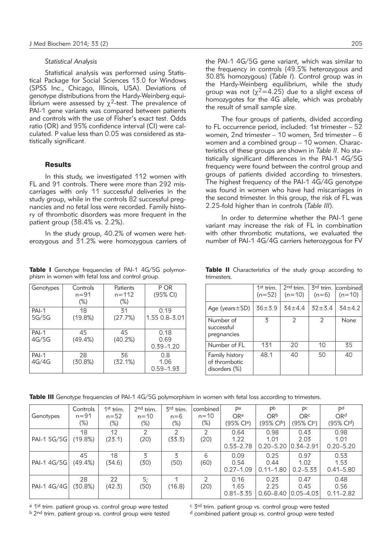#### *Statistical Analysis*

Statistical analysis was performed using Statistical Package for Social Sciences 13.0 for Windows (SPSS Inc., Chicago, Illinois, USA). Deviations of genotype distributions from the Hardy-Weinberg equilibrium were assessed by  $\chi^2$ -test. The prevalence of PAI-1 gene variants was compared between patients and controls with the use of Fisher's exact test. Odds ratio (OR) and 95% confidence interval (CI) were calculated. P value less than 0.05 was considered as statistically significant.

## **Results**

In this study, we investigated 112 women with FL and 91 controls. There were more than 292 miscarriages with only 11 successful deliveries in the study group, while in the controls 82 successful pregnancies and no fetal loss were recorded. Family history of thrombotic disorders was more frequent in the patient group (38.4% vs. 2.2%).

In the study group, 40.2% of women were heterozygous and 31.2% were homozygous carriers of

Table I Genotype frequencies of PAI-1 4G/5G polymorphism in women with fetal loss and control group.

| Genotypes      | Controls<br>n=91<br>$(\%)$ | Patients<br>$n = 112$<br>$(\%)$ | P OR<br>(95% CI)              |
|----------------|----------------------------|---------------------------------|-------------------------------|
| PAI-1<br>5G/5G | 18<br>(19.8%)              | 31<br>(27.7%)                   | 0.19<br>1.55 0.8 - 3.01       |
| PAI-1<br>4G/5G | 45<br>(49.4%)              | 45<br>(40.2%)                   | 0.18<br>0.69<br>$0.39 - 1.20$ |
| PAI-1<br>4G/4G | 28<br>(30.8%)              | 36<br>(32.1%)                   | 0.8<br>1.06<br>$0.59 - 1.93$  |

the PAI-1 4G/5G gene variant, which was similar to the frequency in controls (49.5% heterozygous and 30.8% homozygous) (*Table I*). Control group was in the Hardy-Weinberg equilibrium, while the study group was not ( $\chi^2$ =4.25) due to a slight excess of homozygotes for the 4G allele, which was probably the result of small sample size.

The four groups of patients, divided according to FL occurrence period, included: 1st trimester – 52 women, 2nd trimester - 10 women, 3rd trimester - 6 women and a combined group  $-10$  women. Characteristics of these groups are shown in *Table II*. No statistically significant differences in the PAI-1 4G/5G frequency were found between the control group and groups of patients divided according to trimesters. The highest frequency of the PAI-1 4G/4G genotype was found in women who have had miscarriages in the second trimester. In this group, the risk of FL was 2.25-fold higher than in controls (*Table III*).

In order to determine whether the PAI-1 gene variant may increase the risk of FL in combination with other thrombotic mutations, we evaluated the number of PAI-1 4G/4G carriers heterozygous for FV

|                                                  | $1st$ trim.<br>$(n=52)$ | $2nd$ trim.<br>$(n=10)$ | $(n=6)$   | 3 <sup>rd</sup> trim. combined<br>$(n=10)$ |
|--------------------------------------------------|-------------------------|-------------------------|-----------|--------------------------------------------|
| Age (years $\pm$ SD)                             | $36 + 3.9$              | $34 + 44$               | $32 + 34$ | $34 + 4.2$                                 |
| Number of<br>successful<br>pregnancies           | 3                       | 2                       | 2         | None                                       |
| Number of FL                                     | 131                     | 20                      | 10        | 35                                         |
| Family history<br>of thrombotic<br>disorders (%) | 48.1                    | 40                      | 50        | 40                                         |

Table II Characteristics of the study group according to trimesters.

Table III Genotype frequencies of PAI-1 4G/5G polymorphism in women with fetal loss according to trimesters.

| Genotypes   | Controls<br>$n = 91$<br>$(\%)$ | $1st$ trim.<br>$n = 52$<br>$(\%)$ | $2nd$ trim.<br>$n = 10$<br>$(\%)$ | 3rd trim.<br>$n=6$<br>$(\%)$ | combined<br>$n = 10$<br>$(\%)$ | Pa<br>ORa<br>(95% Cla)        | Pb<br>ORb<br>$(95\% \text{ Cl}^b)$ | Pс<br><b>ORc</b><br>(95% Clc) | Pd<br>ORd<br>(95% Cld)        |
|-------------|--------------------------------|-----------------------------------|-----------------------------------|------------------------------|--------------------------------|-------------------------------|------------------------------------|-------------------------------|-------------------------------|
| PAI-1 5G/5G | 18<br>(19.8%)                  | 12<br>(23.1)                      | $\mathcal{P}$<br>(20)             | $\mathcal{D}$<br>(33.3)      | $\mathcal{P}$<br>(20)          | 0.64<br>1.22<br>$0.55 - 2.78$ | 0.98<br>1.01<br>$0.20 - 5.20$      | 0.43<br>2.03<br>$0.34 - 2.91$ | 0.98<br>1.01<br>$0.20 - 5.20$ |
| PAI-1 4G/5G | 45<br>(49.4%)                  | 18<br>(34.6)                      | 3<br>(30)                         | 3<br>(50)                    | 6<br>(60)                      | 0.09<br>0.54<br>$0.27 - 1.09$ | 0.25<br>0.44<br>$0.11 - 1.80$      | 0.97<br>1.02<br>$0.2 - 5.33$  | 0.53<br>1.53<br>$0.41 - 5.80$ |
| PAI-1 4G/4G | 28<br>(30.8%)                  | 22<br>(42.3)                      | 5;<br>(50)                        | (16.8)                       | 2<br>(20)                      | 0.16<br>1.65<br>$0.81 - 3.35$ | 0.23<br>2.25<br>$0.60 - 8.40$      | 0.47<br>0.45<br>$0.05 - 4.03$ | 0.48<br>0.56<br>$0.11 - 2.82$ |

<sup>a 1st</sup> trim. patient group vs. control group were tested  $\frac{c}{d}$  <sup>c</sup> 3<sup>rd</sup> trim. patient group vs. control group were tested  $\frac{b}{d}$  combined patient group vs. control group were tested <sup>d</sup> combined patient group vs. control group were tested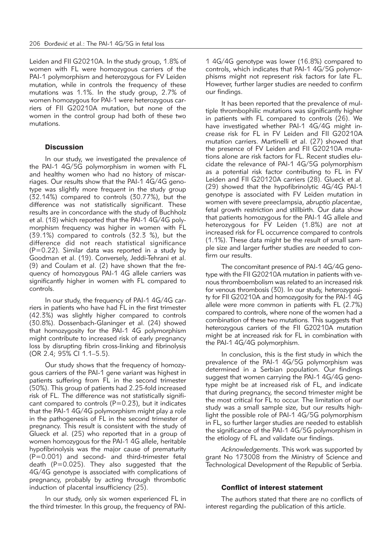Leiden and FII G20210A. In the study group, 1.8% of women with FL were homozygous carriers of the PAI-1 polymorphism and heterozygous for FV Leiden mutation, while in controls the frequency of these mutations was 1.1%. In the study group, 2.7% of women homozygous for PAI-1 were heterozygous carriers of FII G20210A mutation, but none of the women in the control group had both of these two mutations.

## **Discussion**

In our study, we investigated the prevalence of the PAI-1 4G/5G polymorphism in women with FL and healthy women who had no history of miscarriages. Our results show that the PAI-1 4G/4G genotype was slightly more frequent in the study group (32.14%) compared to controls (30.77%), but the difference was not statistically significant. These results are in concordance with the study of Buchholz et al. (18) which reported that the PAI-1 4G/4G polymorphism frequency was higher in women with FL (39.1%) compared to controls (32.3 %), but the difference did not reach statistical significance (P=0.22). Similar data was reported in a study by Goodman et al. (19). Conversely, Jeddi-Tehrani et al. (9) and Coulam et al. (2) have shown that the frequency of homozygous PAI-1 4G allele carriers was significantly higher in women with FL compared to controls.

In our study, the frequency of PAI-1 4G/4G carriers in patients who have had FL in the first trimester (42.3%) was slightly higher compared to controls (30.8%). Dossenbach-Glaninger et al. (24) showed that homozygosity for the PAI-1 4G polymorphism might contribute to increased risk of early pregnancy loss by disrupting fibrin cross-linking and fibrinolysis (OR 2.4; 95% CI 1.1–5.5).

Our study shows that the frequency of homozygous carriers of the PAI-1 gene variant was highest in patients suffering from FL in the second trimester (50%). This group of patients had 2.25-fold increased risk of FL. The difference was not statistically significant compared to controls  $(P=0.23)$ , but it indicates that the PAI-1 4G/4G polymorphism might play a role in the pathogenesis of FL in the second trimester of pregnancy. This result is consistent with the study of Glueck et al. (25) who reported that in a group of women homozygous for the PAI-1 4G allele, heritable hypofibrinolysis was the major cause of prematurity (P=0.001) and second- and third-trimester fetal death (P=0.025). They also suggested that the 4G/4G genotype is associated with complications of pregnancy, probably by acting through thrombotic induction of placental insufficiency (25).

In our study, only six women experienced FL in the third trimester. In this group, the frequency of PAI- 1 4G/4G genotype was lower (16.8%) compared to controls, which indicates that PAI-1 4G/5G polymorphisms might not represent risk factors for late FL. However, further larger studies are needed to confirm our findings.

It has been reported that the prevalence of multiple thrombophilic mutations was significantly higher in patients with FL compared to controls (26). We have investigated whether PAI-1 4G/4G might increase risk for FL in FV Leiden and FII G20210A mutation carriers. Martinelli et al. (27) showed that the presence of FV Leiden and FII G20210A mutations alone are risk factors for FL. Recent studies elucidate the relevance of PAI-1 4G/5G polymorphism as a potential risk factor contributing to FL in FV Leiden and FII G20120A carriers (28). Glueck et al. (29) showed that the hypofibrinolytic 4G/4G PAI-1 genotype is associated with FV Leiden mutation in women with severe preeclampsia, *abruptio placentae*, fetal growth restriction and stillbirth. Our data show that patients homozygous for the PAI-1 4G allele and heterozygous for FV Leiden (1.8%) are not at increased risk for FL occurrence compared to controls (1.1%). These data might be the result of small sample size and larger further studies are needed to confirm our results.

The concomitant presence of PAI-1 4G/4G genotype with the FII G20210A mutation in patients with venous thromboembolism was related to an increased risk for venous thrombosis (30). In our study, heterozygosity for FII G20210A and homozygosity for the PAI-1 4G allele were more common in patients with FL (2.7%) compared to controls, where none of the women had a combination of these two mutations. This suggests that heterozygous carriers of the FII G20210A mutation might be at increased risk for FL in combination with the PAI-1 4G/4G polymorphism.

In conclusion, this is the first study in which the prevalence of the PAI-1 4G/5G polymorphism was determined in a Serbian population. Our findings suggest that women carrying the PAI-1 4G/4G genotype might be at increased risk of FL, and indicate that during pregnancy, the second trimester might be the most critical for FL to occur. The limitation of our study was a small sample size, but our results highlight the possible role of PAI-1 4G/5G polymorphism in FL, so further larger studies are needed to establish the significance of the PAI-1 4G/5G polymorphism in the etiology of FL and validate our findings.

*Acknowledgements*. This work was supported by grant No 173008 from the Ministry of Science and Technological Development of the Republic of Serbia.

#### Conflict of interest statement

The authors stated that there are no conflicts of interest regarding the publication of this article.